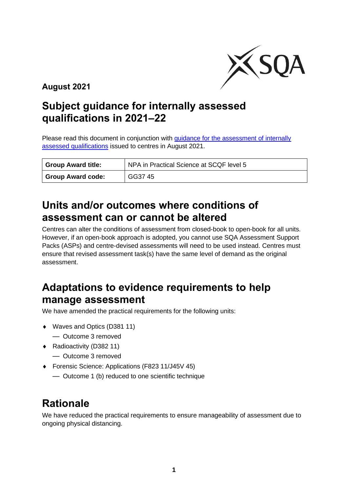

**August 2021**

### **Subject guidance for internally assessed qualifications in 2021–22**

Please read this document in conjunction with [guidance for the assessment of internally](https://www.sqa.org.uk/sqa/96759.html)  [assessed qualifications](https://www.sqa.org.uk/sqa/96759.html) issued to centres in August 2021.

| <sup>1</sup> Group Award title: | NPA in Practical Science at SCQF level 5 |
|---------------------------------|------------------------------------------|
| <b>Group Award code:</b>        | GG37 45                                  |

#### **Units and/or outcomes where conditions of assessment can or cannot be altered**

Centres can alter the conditions of assessment from closed-book to open-book for all units. However, if an open-book approach is adopted, you cannot use SQA Assessment Support Packs (ASPs) and centre-devised assessments will need to be used instead. Centres must ensure that revised assessment task(s) have the same level of demand as the original assessment.

### **Adaptations to evidence requirements to help manage assessment**

We have amended the practical requirements for the following units:

- ◆ Waves and Optics (D381 11)
	- Outcome 3 removed
- ◆ Radioactivity (D382 11)
	- Outcome 3 removed
- Forensic Science: Applications (F823 11/J45V 45)
	- Outcome 1 (b) reduced to one scientific technique

## **Rationale**

We have reduced the practical requirements to ensure manageability of assessment due to ongoing physical distancing.